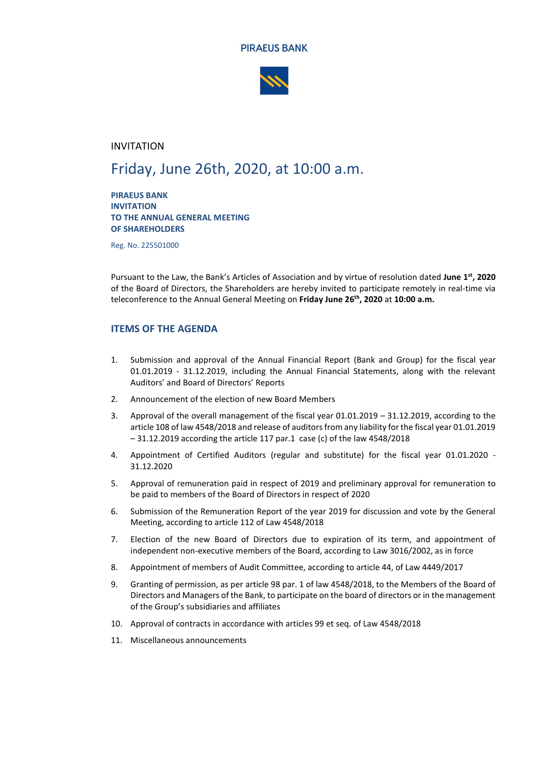



## INVITATION

# Friday, June 26th, 2020, at 10:00 a.m.

**PIRAEUS BANK INVITATION TO THE ANNUAL GENERAL MEETING OF SHAREHOLDERS**

Reg. No. 225501000

Pursuant to the Law, the Bank's Articles of Association and by virtue of resolution dated **June 1 st, 2020** of the Board of Directors, the Shareholders are hereby invited to participate remotely in real-time via teleconference to the Annual General Meeting on **Friday June 26 th, 2020** at **10:00 a.m.**

## **ITEMS OF THE AGENDA**

- 1. Submission and approval of the Annual Financial Report (Bank and Group) for the fiscal year 01.01.2019 - 31.12.2019, including the Annual Financial Statements, along with the relevant Auditors' and Board of Directors' Reports
- 2. Announcement of the election of new Board Members
- 3. Approval of the overall management of the fiscal year 01.01.2019 31.12.2019, according to the article 108 of law 4548/2018 and release of auditors from any liability for the fiscal year 01.01.2019 – 31.12.2019 according the article 117 par.1 case (c) of the law 4548/2018
- 4. Appointment of Certified Auditors (regular and substitute) for the fiscal year 01.01.2020 31.12.2020
- 5. Approval of remuneration paid in respect of 2019 and preliminary approval for remuneration to be paid to members of the Board of Directors in respect of 2020
- 6. Submission of the Remuneration Report of the year 2019 for discussion and vote by the General Meeting, according to article 112 of Law 4548/2018
- 7. Election of the new Board of Directors due to expiration of its term, and appointment of independent non-executive members of the Board, according to Law 3016/2002, as in force
- 8. Appointment of members of Audit Committee, according to article 44, of Law 4449/2017
- 9. Granting of permission, as per article 98 par. 1 of law 4548/2018, to the Members of the Board of Directors and Managers of the Bank, to participate on the board of directors or in the management of the Group's subsidiaries and affiliates
- 10. Approval of contracts in accordance with articles 99 et seq. of Law 4548/2018
- 11. Miscellaneous announcements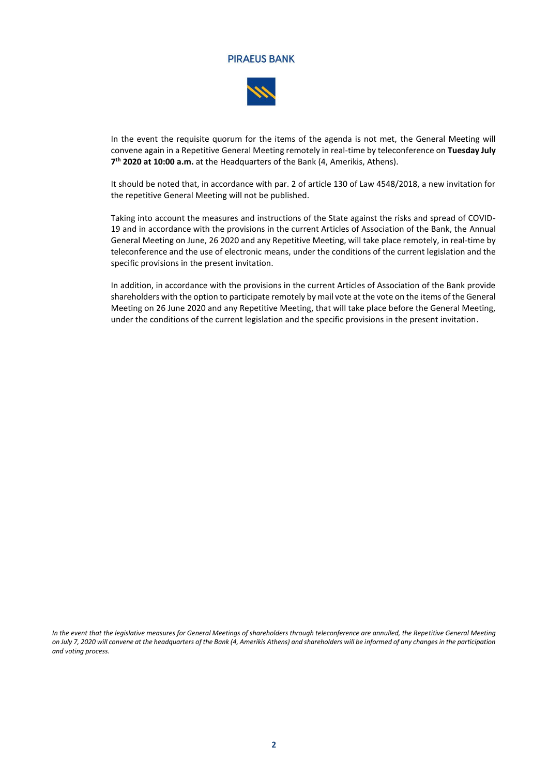

In the event the requisite quorum for the items of the agenda is not met, the General Meeting will convene again in a Repetitive General Meeting remotely in real-time by teleconference on **Tuesday July 7 th 2020 at 10:00 a.m.** at the Headquarters of the Bank (4, Amerikis, Athens).

It should be noted that, in accordance with par. 2 of article 130 of Law 4548/2018, a new invitation for the repetitive General Meeting will not be published.

Taking into account the measures and instructions of the State against the risks and spread of COVID-19 and in accordance with the provisions in the current Articles of Association of the Bank, the Annual General Meeting on June, 26 2020 and any Repetitive Meeting, will take place remotely, in real-time by teleconference and the use of electronic means, under the conditions of the current legislation and the specific provisions in the present invitation.

In addition, in accordance with the provisions in the current Articles of Association of the Bank provide shareholders with the option to participate remotely by mail vote at the vote on the items of the General Meeting on 26 June 2020 and any Repetitive Meeting, that will take place before the General Meeting, under the conditions of the current legislation and the specific provisions in the present invitation.

*In the event that the legislative measures for General Meetings of shareholders through teleconference are annulled, the Repetitive General Meeting on July 7, 2020 will convene at the headquarters of the Bank (4, Amerikis Athens) and shareholders will be informed of any changes in the participation and voting process.*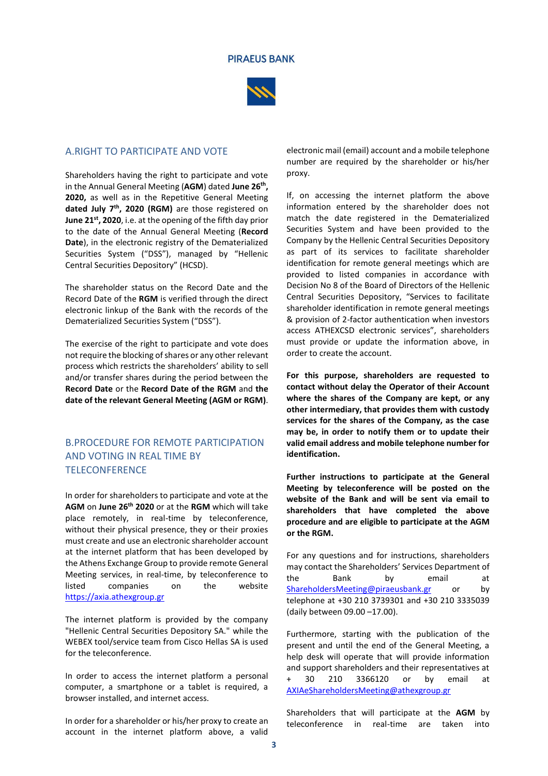

## A.RIGHT TO PARTICIPATE AND VOTE

Shareholders having the right to participate and vote in the Annual General Meeting (**AGM**) dated **June 26 th , 2020,** as well as in the Repetitive General Meeting **dated July 7th , 2020 (RGM)** are those registered on **June 21st, 2020**, i.e. at the opening of the fifth day prior to the date of the Annual General Meeting (**Record Date**), in the electronic registry of the Dematerialized Securities System ("DSS"), managed by "Hellenic Central Securities Depository" (HCSD).

The shareholder status on the Record Date and the Record Date of the **RGM** is verified through the direct electronic linkup of the Bank with the records of the Dematerialized Securities System ("DSS").

The exercise of the right to participate and vote does not require the blocking of shares or any other relevant process which restricts the shareholders' ability to sell and/or transfer shares during the period between the **Record Date** or the **Record Date of the RGM** and **the date of the relevant General Meeting (AGM or RGM)**.

## B.PROCEDURE FOR REMOTE PARTICIPATION AND VOTING IN REAL TIME BY **TELECONFERENCE**

In order for shareholders to participate and vote at the **AGM** on **June 26 th 2020** or at the **RGM** which will take place remotely, in real-time by teleconference, without their physical presence, they or their proxies must create and use an electronic shareholder account at the internet platform that has been developed by the Athens Exchange Group to provide remote General Meeting services, in real-time, by teleconference to listed companies on the website [https://axia.athexgroup.gr](https://axia.athexgroup.gr/)

The internet platform is provided by the company "Hellenic Central Securities Depository SA." while the WEBEX tool/service team from Cisco Hellas SA is used for the teleconference.

In order to access the internet platform a personal computer, a smartphone or a tablet is required, a browser installed, and internet access.

In order for a shareholder or his/her proxy to create an account in the internet platform above, a valid electronic mail (email) account and a mobile telephone number are required by the shareholder or his/her proxy.

If, on accessing the internet platform the above information entered by the shareholder does not match the date registered in the Dematerialized Securities System and have been provided to the Company by the Hellenic Central Securities Depository as part of its services to facilitate shareholder identification for remote general meetings which are provided to listed companies in accordance with Decision No 8 of the Board of Directors of the Hellenic Central Securities Depository, "Services to facilitate shareholder identification in remote general meetings & provision of 2-factor authentication when investors access ATHEXCSD electronic services", shareholders must provide or update the information above, in order to create the account.

**For this purpose, shareholders are requested to contact without delay the Operator of their Account where the shares of the Company are kept, or any other intermediary, that provides them with custody services for the shares of the Company, as the case may be, in order to notify them or to update their valid email address and mobile telephone number for identification.**

**Further instructions to participate at the General Meeting by teleconference will be posted on the website of the Bank and will be sent via email to shareholders that have completed the above procedure and are eligible to participate at the AGM or the RGM.**

For any questions and for instructions, shareholders may contact the Shareholders' Services Department of the Bank by email at [ShareholdersMeeting@piraeusbank.gr](mailto:sharesdept@piraeusbank.gr) or by telephone at +30 210 3739301 and +30 210 3335039 (daily between 09.00 –17.00).

Furthermore, starting with the publication of the present and until the end of the General Meeting, a help desk will operate that will provide information and support shareholders and their representatives at + 30 210 3366120 or by email at [AXIAeShareholdersMeeting@athexgroup.gr](mailto:AXIAeShareholdersMeeting@athexgroup.gr)

Shareholders that will participate at the **AGM** by teleconference in real-time are taken into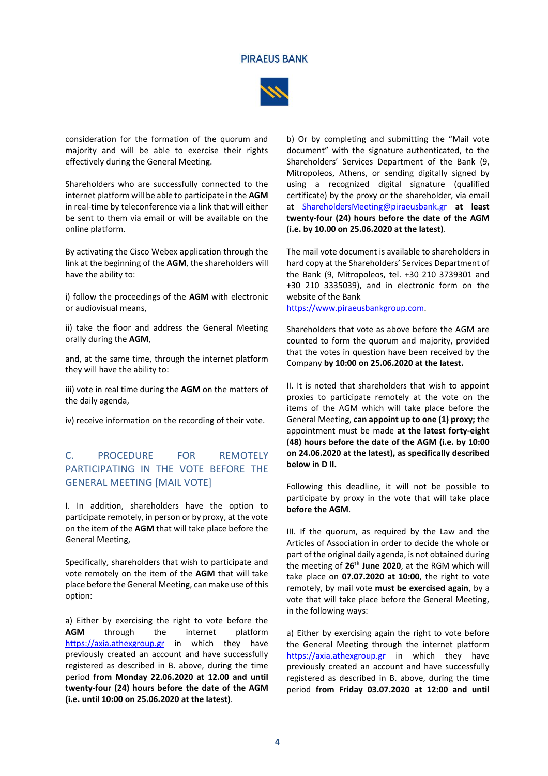

consideration for the formation of the quorum and majority and will be able to exercise their rights effectively during the General Meeting.

Shareholders who are successfully connected to the internet platform will be able to participate in the **AGM**  in real-time by teleconference via a link that will either be sent to them via email or will be available on the online platform.

By activating the Cisco Webex application through the link at the beginning of the **AGM**, the shareholders will have the ability to:

i) follow the proceedings of the **AGM** with electronic or audiovisual means,

ii) take the floor and address the General Meeting orally during the **AGM**,

and, at the same time, through the internet platform they will have the ability to:

iii) vote in real time during the **AGM** on the matters of the daily agenda,

iv) receive information on the recording of their vote.

# C. PROCEDURE FOR REMOTELY PARTICIPATING IN THE VOTE BEFORE THE GENERAL MEETING [MAIL VOTE]

I. In addition, shareholders have the option to participate remotely, in person or by proxy, at the vote on the item of the **AGM** that will take place before the General Meeting,

Specifically, shareholders that wish to participate and vote remotely on the item of the **AGM** that will take place before the General Meeting, can make use of this option:

a) Either by exercising the right to vote before the **AGM** through the internet platform [https://axia.athexgroup.gr](https://axia.athexgroup.gr/) in which they have previously created an account and have successfully registered as described in B. above, during the time period **from Monday 22.06.2020 at 12.00 and until twenty-four (24) hours before the date of the AGM (i.e. until 10:00 on 25.06.2020 at the latest)**.

b) Or by completing and submitting the "Mail vote document" with the signature authenticated, to the Shareholders' Services Department of the Bank (9, Mitropoleos, Athens, or sending digitally signed by using a recognized digital signature (qualified certificate) by the proxy or the shareholder, via email at [ShareholdersMeeting@piraeusbank.gr](mailto:sharesdept@piraeusbank.gr) **at least twenty-four (24) hours before the date of the AGM (i.e. by 10.00 on 25.06.2020 at the latest)**.

The mail vote document is available to shareholders in hard copy at the Shareholders' Services Department of the Bank (9, Mitropoleos, tel. +30 210 3739301 and +30 210 3335039), and in electronic form on the website of the Bank

[https://www.piraeusbankgroup.com.](https://www.piraeusbankgroup.com/)

Shareholders that vote as above before the AGM are counted to form the quorum and majority, provided that the votes in question have been received by the Company **by 10:00 on 25.06.2020 at the latest.** 

II. It is noted that shareholders that wish to appoint proxies to participate remotely at the vote on the items of the AGM which will take place before the General Meeting, **can appoint up to one (1) proxy;** the appointment must be made **at the latest forty-eight (48) hours before the date of the AGM (i.e. by 10:00 on 24.06.2020 at the latest), as specifically described below in D II.** 

Following this deadline, it will not be possible to participate by proxy in the vote that will take place **before the AGM**.

III. If the quorum, as required by the Law and the Articles of Association in order to decide the whole or part of the original daily agenda, is not obtained during the meeting of **26 th June 2020**, at the RGM which will take place on **07.07.2020 at 10:00**, the right to vote remotely, by mail vote **must be exercised again**, by a vote that will take place before the General Meeting, in the following ways:

a) Either by exercising again the right to vote before the General Meeting through the internet platform [https://axia.athexgroup.gr](https://axia.athexgroup.gr/) in which they have previously created an account and have successfully registered as described in B. above, during the time period **from Friday 03.07.2020 at 12:00 and until**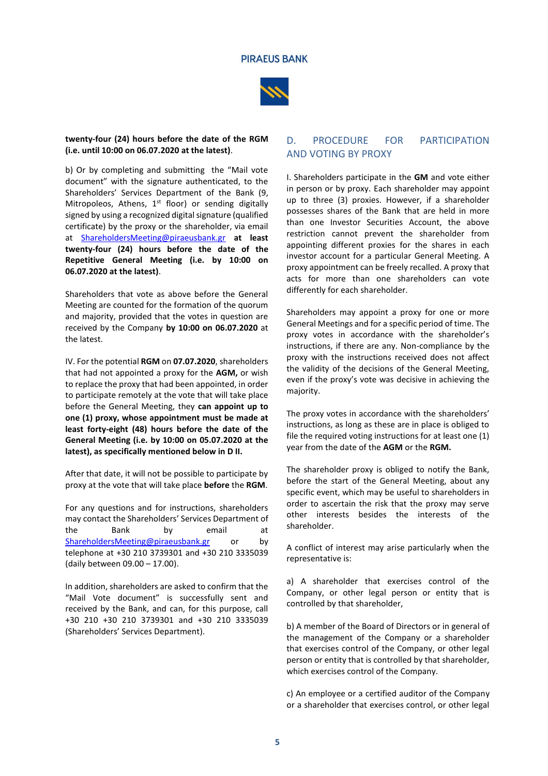



#### **twenty-four (24) hours before the date of the RGM (i.e. until 10:00 on 06.07.2020 at the latest)**.

b) Or by completing and submitting the "Mail vote document" with the signature authenticated, to the Shareholders' Services Department of the Bank (9, Mitropoleos, Athens,  $1<sup>st</sup>$  floor) or sending digitally signed by using a recognized digital signature (qualified certificate) by the proxy or the shareholder, via email at [ShareholdersMeeting@piraeusbank.gr](mailto:sharesdept@piraeusbank.gr) **at least twenty-four (24) hours before the date of the Repetitive General Meeting (i.e. by 10:00 on 06.07.2020 at the latest)**.

Shareholders that vote as above before the General Meeting are counted for the formation of the quorum and majority, provided that the votes in question are received by the Company **by 10:00 on 06.07.2020** at the latest.

IV. For the potential **RGM** on **07.07.2020**, shareholders that had not appointed a proxy for the **AGM,** or wish to replace the proxy that had been appointed, in order to participate remotely at the vote that will take place before the General Meeting, they **can appoint up to one (1) proxy, whose appointment must be made at least forty-eight (48) hours before the date of the General Meeting (i.e. by 10:00 on 05.07.2020 at the latest), as specifically mentioned below in D II.** 

After that date, it will not be possible to participate by proxy at the vote that will take place **before** the **RGM**.

For any questions and for instructions, shareholders may contact the Shareholders' Services Department of the Bank by email at [ShareholdersMeeting@piraeusbank.gr](mailto:sharesdept@piraeusbank.gr) or by telephone at +30 210 3739301 and +30 210 3335039 (daily between 09.00 – 17.00).

In addition, shareholders are asked to confirm that the "Mail Vote document" is successfully sent and received by the Bank, and can, for this purpose, call +30 210 +30 210 3739301 and +30 210 3335039 (Shareholders' Services Department).

# D. PROCEDURE FOR PARTICIPATION AND VOTING BY PROXY

I. Shareholders participate in the **GM** and vote either in person or by proxy. Each shareholder may appoint up to three (3) proxies. However, if a shareholder possesses shares of the Bank that are held in more than one Investor Securities Account, the above restriction cannot prevent the shareholder from appointing different proxies for the shares in each investor account for a particular General Meeting. A proxy appointment can be freely recalled. A proxy that acts for more than one shareholders can vote differently for each shareholder.

Shareholders may appoint a proxy for one or more General Meetings and for a specific period of time. The proxy votes in accordance with the shareholder's instructions, if there are any. Non-compliance by the proxy with the instructions received does not affect the validity of the decisions of the General Meeting, even if the proxy's vote was decisive in achieving the majority.

The proxy votes in accordance with the shareholders' instructions, as long as these are in place is obliged to file the required voting instructions for at least one (1) year from the date of the **AGM** or the **RGM.**

The shareholder proxy is obliged to notify the Bank, before the start of the General Meeting, about any specific event, which may be useful to shareholders in order to ascertain the risk that the proxy may serve other interests besides the interests of the shareholder.

A conflict of interest may arise particularly when the representative is:

a) A shareholder that exercises control of the Company, or other legal person or entity that is controlled by that shareholder,

b) A member of the Board of Directors or in general of the management of the Company or a shareholder that exercises control of the Company, or other legal person or entity that is controlled by that shareholder, which exercises control of the Company.

c) An employee or a certified auditor of the Company or a shareholder that exercises control, or other legal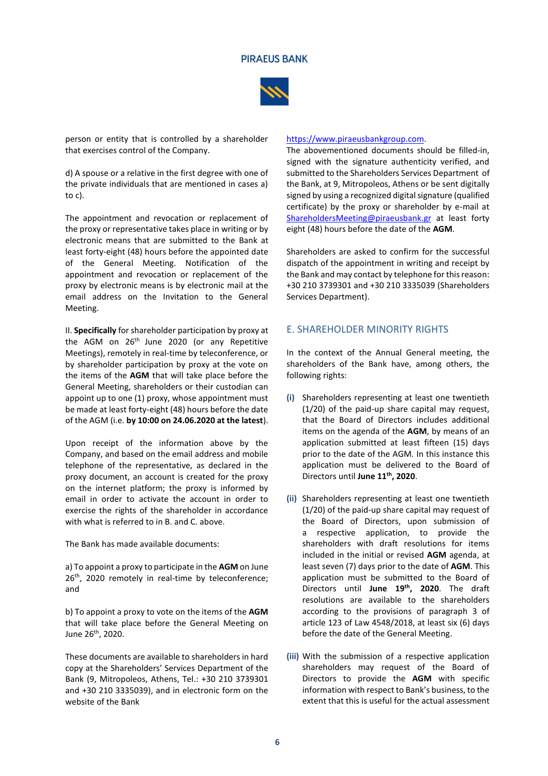

person or entity that is controlled by a shareholder that exercises control of the Company.

d) A spouse or a relative in the first degree with one of the private individuals that are mentioned in cases a) to c).

The appointment and revocation or replacement of the proxy or representative takes place in writing or by electronic means that are submitted to the Bank at least forty-eight (48) hours before the appointed date of the General Meeting. Notification of the appointment and revocation or replacement of the proxy by electronic means is by electronic mail at the email address on the Invitation to the General Meeting.

II. **Specifically** for shareholder participation by proxy at the AGM on 26<sup>th</sup> June 2020 (or any Repetitive Meetings), remotely in real-time by teleconference, or by shareholder participation by proxy at the vote on the items of the **AGM** that will take place before the General Meeting, shareholders or their custodian can appoint up to one (1) proxy, whose appointment must be made at least forty-eight (48) hours before the date of the AGM (i.e. **by 10:00 on 24.06.2020 at the latest**).

Upon receipt of the information above by the Company, and based on the email address and mobile telephone of the representative, as declared in the proxy document, an account is created for the proxy on the internet platform; the proxy is informed by email in order to activate the account in order to exercise the rights of the shareholder in accordance with what is referred to in B. and C. above.

The Bank has made available documents:

a) To appoint a proxy to participate in the **AGM** on June 26<sup>th</sup>, 2020 remotely in real-time by teleconference; and

b) To appoint a proxy to vote on the items of the **AGM** that will take place before the General Meeting on June 26<sup>th</sup>, 2020.

These documents are available to shareholders in hard copy at the Shareholders' Services Department of the Bank (9, Mitropoleos, Athens, Tel.: +30 210 3739301 and +30 210 3335039), and in electronic form on the website of the Bank

#### [https://www.piraeusbankgroup.com.](https://www.piraeusbankgroup.com/)

The abovementioned documents should be filled-in, signed with the signature authenticity verified, and submitted to the Shareholders Services Department of the Bank, at 9, Mitropoleos, Athens or be sent digitally signed by using a recognized digital signature (qualified certificate) by the proxy or shareholder by e-mail at [ShareholdersMeeting@piraeusbank.gr](mailto:sharesdept@piraeusbank.gr) at least forty eight (48) hours before the date of the **AGM**.

Shareholders are asked to confirm for the successful dispatch of the appointment in writing and receipt by the Bank and may contact by telephone for this reason: +30 210 3739301 and +30 210 3335039 (Shareholders Services Department).

## E. SHAREHOLDER MINORITY RIGHTS

In the context of the Annual General meeting, the shareholders of the Bank have, among others, the following rights:

- **(i)** Shareholders representing at least one twentieth (1/20) of the paid-up share capital may request, that the Board of Directors includes additional items on the agenda of the **AGM**, by means of an application submitted at least fifteen (15) days prior to the date of the AGM. In this instance this application must be delivered to the Board of Directors until **June 11 th, 2020**.
- **(ii)** Shareholders representing at least one twentieth (1/20) of the paid-up share capital may request of the Board of Directors, upon submission of a respective application, to provide the shareholders with draft resolutions for items included in the initial or revised **AGM** agenda, at least seven (7) days prior to the date of **AGM**. This application must be submitted to the Board of Directors until **June 19 th, 2020**. The draft resolutions are available to the shareholders according to the provisions of paragraph 3 of article 123 of Law 4548/2018, at least six (6) days before the date of the General Meeting.
- **(iii)** With the submission of a respective application shareholders may request of the Board of Directors to provide the **AGM** with specific information with respect to Bank's business, to the extent that this is useful for the actual assessment